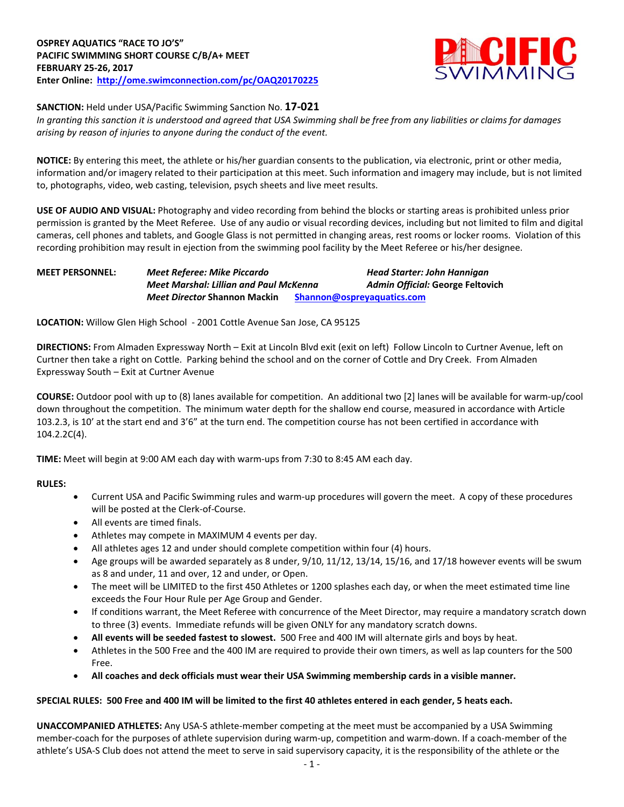

### **SANCTION:** Held under USA/Pacific Swimming Sanction No. **17-021**

*In granting this sanction it is understood and agreed that USA Swimming shall be free from any liabilities or claims for damages arising by reason of injuries to anyone during the conduct of the event.*

**NOTICE:** By entering this meet, the athlete or his/her guardian consents to the publication, via electronic, print or other media, information and/or imagery related to their participation at this meet. Such information and imagery may include, but is not limited to, photographs, video, web casting, television, psych sheets and live meet results.

**USE OF AUDIO AND VISUAL:** Photography and video recording from behind the blocks or starting areas is prohibited unless prior permission is granted by the Meet Referee. Use of any audio or visual recording devices, including but not limited to film and digital cameras, cell phones and tablets, and Google Glass is not permitted in changing areas, rest rooms or locker rooms. Violation of this recording prohibition may result in ejection from the swimming pool facility by the Meet Referee or his/her designee.

# **MEET PERSONNEL:** *Meet Referee: Mike Piccardo Head Starter: John Hannigan Meet Marshal: Lillian and Paul McKenna Admin Official:* **George Feltovich** *Meet Director* **Shannon Mackin [Shannon@ospreyaquatics.com](mailto:Shannon@ospreyaquatics.com)**

**LOCATION:** Willow Glen High School - 2001 Cottle Avenue San Jose, CA 95125

**DIRECTIONS:** From Almaden Expressway North – Exit at Lincoln Blvd exit (exit on left) Follow Lincoln to Curtner Avenue, left on Curtner then take a right on Cottle. Parking behind the school and on the corner of Cottle and Dry Creek. From Almaden Expressway South – Exit at Curtner Avenue

**COURSE:** Outdoor pool with up to (8) lanes available for competition. An additional two [2] lanes will be available for warm-up/cool down throughout the competition. The minimum water depth for the shallow end course, measured in accordance with Article 103.2.3, is 10' at the start end and 3'6" at the turn end. The competition course has not been certified in accordance with 104.2.2C(4).

**TIME:** Meet will begin at 9:00 AM each day with warm-ups from 7:30 to 8:45 AM each day.

### **RULES:**

- Current USA and Pacific Swimming rules and warm-up procedures will govern the meet. A copy of these procedures will be posted at the Clerk-of-Course.
- All events are timed finals.
- Athletes may compete in MAXIMUM 4 events per day.
- All athletes ages 12 and under should complete competition within four (4) hours.
- Age groups will be awarded separately as 8 under, 9/10, 11/12, 13/14, 15/16, and 17/18 however events will be swum as 8 and under, 11 and over, 12 and under, or Open.
- The meet will be LIMITED to the first 450 Athletes or 1200 splashes each day, or when the meet estimated time line exceeds the Four Hour Rule per Age Group and Gender.
- If conditions warrant, the Meet Referee with concurrence of the Meet Director, may require a mandatory scratch down to three (3) events. Immediate refunds will be given ONLY for any mandatory scratch downs.
- **All events will be seeded fastest to slowest.** 500 Free and 400 IM will alternate girls and boys by heat.
- Athletes in the 500 Free and the 400 IM are required to provide their own timers, as well as lap counters for the 500 Free.
- **All coaches and deck officials must wear their USA Swimming membership cards in a visible manner.**

### **SPECIAL RULES: 500 Free and 400 IM will be limited to the first 40 athletes entered in each gender, 5 heats each.**

**UNACCOMPANIED ATHLETES:** Any USA-S athlete-member competing at the meet must be accompanied by a USA Swimming member-coach for the purposes of athlete supervision during warm-up, competition and warm-down. If a coach-member of the athlete's USA-S Club does not attend the meet to serve in said supervisory capacity, it is the responsibility of the athlete or the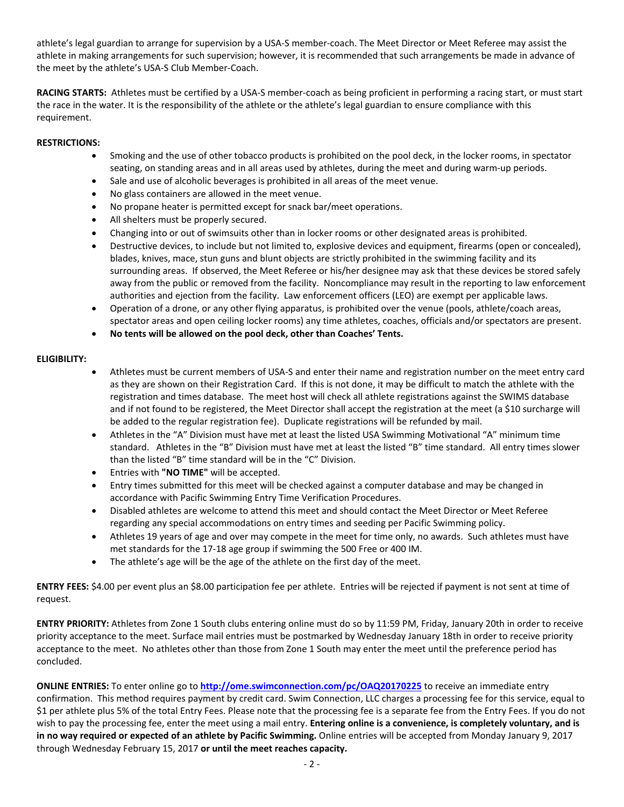athlete's legal guardian to arrange for supervision by a USA-S member-coach. The Meet Director or Meet Referee may assist the athlete in making arrangements for such supervision; however, it is recommended that such arrangements be made in advance of the meet by the athlete's USA-S Club Member-Coach.

**RACING STARTS:** Athletes must be certified by a USA-S member-coach as being proficient in performing a racing start, or must start the race in the water. It is the responsibility of the athlete or the athlete's legal guardian to ensure compliance with this requirement.

### **RESTRICTIONS:**

- Smoking and the use of other tobacco products is prohibited on the pool deck, in the locker rooms, in spectator seating, on standing areas and in all areas used by athletes, during the meet and during warm-up periods.
- Sale and use of alcoholic beverages is prohibited in all areas of the meet venue.
- No glass containers are allowed in the meet venue.
- No propane heater is permitted except for snack bar/meet operations.
- All shelters must be properly secured.
- Changing into or out of swimsuits other than in locker rooms or other designated areas is prohibited.
- Destructive devices, to include but not limited to, explosive devices and equipment, firearms (open or concealed), blades, knives, mace, stun guns and blunt objects are strictly prohibited in the swimming facility and its surrounding areas. If observed, the Meet Referee or his/her designee may ask that these devices be stored safely away from the public or removed from the facility. Noncompliance may result in the reporting to law enforcement authorities and ejection from the facility. Law enforcement officers (LEO) are exempt per applicable laws.
- Operation of a drone, or any other flying apparatus, is prohibited over the venue (pools, athlete/coach areas, spectator areas and open ceiling locker rooms) any time athletes, coaches, officials and/or spectators are present.
- **No tents will be allowed on the pool deck, other than Coaches' Tents.**

# **ELIGIBILITY:**

- Athletes must be current members of USA-S and enter their name and registration number on the meet entry card as they are shown on their Registration Card. If this is not done, it may be difficult to match the athlete with the registration and times database. The meet host will check all athlete registrations against the SWIMS database and if not found to be registered, the Meet Director shall accept the registration at the meet (a \$10 surcharge will be added to the regular registration fee). Duplicate registrations will be refunded by mail.
- Athletes in the "A" Division must have met at least the listed USA Swimming Motivational "A" minimum time standard. Athletes in the "B" Division must have met at least the listed "B" time standard. All entry times slower than the listed "B" time standard will be in the "C" Division.
- Entries with **"NO TIME"** will be accepted.
- Entry times submitted for this meet will be checked against a computer database and may be changed in accordance with Pacific Swimming Entry Time Verification Procedures.
- Disabled athletes are welcome to attend this meet and should contact the Meet Director or Meet Referee regarding any special accommodations on entry times and seeding per Pacific Swimming policy.
- Athletes 19 years of age and over may compete in the meet for time only, no awards. Such athletes must have met standards for the 17-18 age group if swimming the 500 Free or 400 IM.
- The athlete's age will be the age of the athlete on the first day of the meet.

**ENTRY FEES:** \$4.00 per event plus an \$8.00 participation fee per athlete. Entries will be rejected if payment is not sent at time of request.

**ENTRY PRIORITY:** Athletes from Zone 1 South clubs entering online must do so by 11:59 PM, Friday, January 20th in order to receive priority acceptance to the meet. Surface mail entries must be postmarked by Wednesday January 18th in order to receive priority acceptance to the meet. No athletes other than those from Zone 1 South may enter the meet until the preference period has concluded.

**ONLINE ENTRIES:** To enter online go to **<http://ome.swimconnection.com/pc/OAQ20170225>** to receive an immediate entry confirmation. This method requires payment by credit card. Swim Connection, LLC charges a processing fee for this service, equal to \$1 per athlete plus 5% of the total Entry Fees. Please note that the processing fee is a separate fee from the Entry Fees. If you do not wish to pay the processing fee, enter the meet using a mail entry. **Entering online is a convenience, is completely voluntary, and is in no way required or expected of an athlete by Pacific Swimming.** Online entries will be accepted from Monday January 9, 2017 through Wednesday February 15, 2017 **or until the meet reaches capacity.**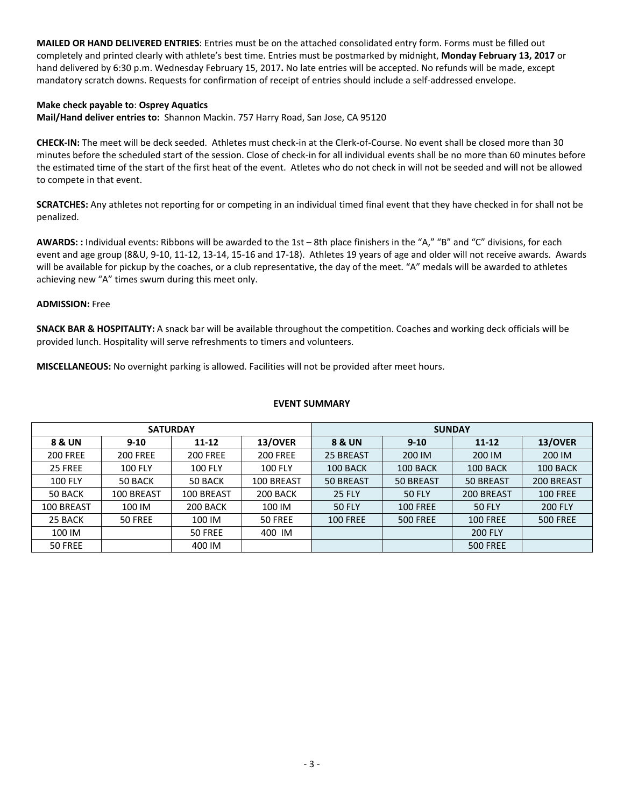**MAILED OR HAND DELIVERED ENTRIES**: Entries must be on the attached consolidated entry form. Forms must be filled out completely and printed clearly with athlete's best time. Entries must be postmarked by midnight, **Monday February 13, 2017** or hand delivered by 6:30 p.m. Wednesday February 15, 2017**.** No late entries will be accepted. No refunds will be made, except mandatory scratch downs. Requests for confirmation of receipt of entries should include a self-addressed envelope.

### **Make check payable to**: **Osprey Aquatics**

**Mail/Hand deliver entries to:** Shannon Mackin. 757 Harry Road, San Jose, CA 95120

**CHECK-IN:** The meet will be deck seeded. Athletes must check-in at the Clerk-of-Course. No event shall be closed more than 30 minutes before the scheduled start of the session. Close of check-in for all individual events shall be no more than 60 minutes before the estimated time of the start of the first heat of the event. Atletes who do not check in will not be seeded and will not be allowed to compete in that event.

**SCRATCHES:** Any athletes not reporting for or competing in an individual timed final event that they have checked in for shall not be penalized.

**AWARDS: :** Individual events: Ribbons will be awarded to the 1st – 8th place finishers in the "A," "B" and "C" divisions, for each event and age group (8&U, 9-10, 11-12, 13-14, 15-16 and 17-18). Athletes 19 years of age and older will not receive awards. Awards will be available for pickup by the coaches, or a club representative, the day of the meet. "A" medals will be awarded to athletes achieving new "A" times swum during this meet only.

### **ADMISSION:** Free

**SNACK BAR & HOSPITALITY:** A snack bar will be available throughout the competition. Coaches and working deck officials will be provided lunch. Hospitality will serve refreshments to timers and volunteers.

**MISCELLANEOUS:** No overnight parking is allowed. Facilities will not be provided after meet hours.

#### **EVENT SUMMARY**

|                 |                 | <b>SATURDAY</b> |                 | <b>SUNDAY</b>     |                 |                 |                 |  |  |
|-----------------|-----------------|-----------------|-----------------|-------------------|-----------------|-----------------|-----------------|--|--|
| 8 & UN          | $9 - 10$        | $11 - 12$       | <b>13/OVER</b>  | <b>8 &amp; UN</b> | $9 - 10$        | $11 - 12$       | 13/OVER         |  |  |
| <b>200 FREE</b> | <b>200 FREE</b> | <b>200 FREE</b> | <b>200 FREE</b> | 25 BREAST         | 200 IM          | 200 IM          | 200 IM          |  |  |
| 25 FREE         | <b>100 FLY</b>  | <b>100 FLY</b>  | <b>100 FLY</b>  | 100 BACK          | 100 BACK        | 100 BACK        | 100 BACK        |  |  |
| <b>100 FLY</b>  | 50 BACK         | 50 BACK         | 100 BREAST      | 50 BREAST         | 50 BREAST       | 50 BREAST       | 200 BREAST      |  |  |
| 50 BACK         | 100 BREAST      | 100 BREAST      | 200 BACK        | <b>25 FLY</b>     | <b>50 FLY</b>   | 200 BREAST      | <b>100 FREE</b> |  |  |
| 100 BREAST      | 100 IM          | 200 BACK        | 100 IM          | <b>50 FLY</b>     | <b>100 FREE</b> | <b>50 FLY</b>   | <b>200 FLY</b>  |  |  |
| 25 BACK         | 50 FREE         | 100 IM          | 50 FREE         | <b>100 FREE</b>   | <b>500 FREE</b> | <b>100 FREE</b> | <b>500 FREE</b> |  |  |
| 100 IM          |                 | 50 FREE         | 400 IM          |                   |                 | <b>200 FLY</b>  |                 |  |  |
| 50 FREE         |                 | 400 IM          |                 |                   |                 | <b>500 FREE</b> |                 |  |  |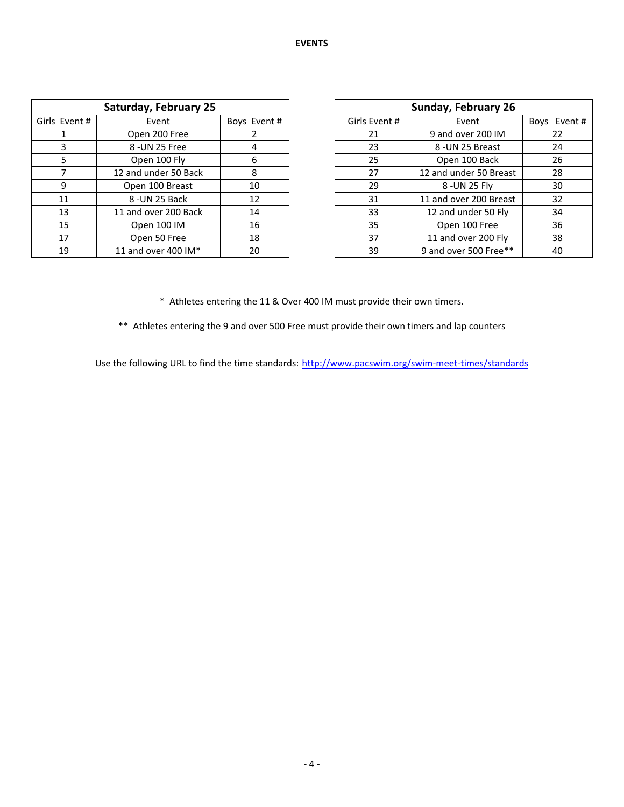|               | <b>Saturday, February 25</b> |             | Sunday, February 26 |                        |             |
|---------------|------------------------------|-------------|---------------------|------------------------|-------------|
| Girls Event # | Event                        | Boys Event# | Girls Event #       | Event                  | Boys Event# |
|               | Open 200 Free                |             | 21                  | 9 and over 200 IM      |             |
|               | 8 - UN 25 Free               |             | 23                  | 8 - UN 25 Breast       |             |
| 5             | Open 100 Fly                 | 6           | 25                  | Open 100 Back          |             |
|               | 12 and under 50 Back         | 8           | 27                  | 12 and under 50 Breast |             |
| 9             | Open 100 Breast              | 10          | 29                  | 8 -UN 25 Fly           |             |
| 11            | 8 - UN 25 Back               | 12          | 31                  | 11 and over 200 Breast |             |
| 13            | 11 and over 200 Back         | 14          | 33                  | 12 and under 50 Fly    |             |
| 15            | Open 100 IM                  | 16          | 35                  | Open 100 Free          |             |
| 17            | Open 50 Free                 | 18          | 37                  | 11 and over 200 Fly    |             |
| 19            | 11 and over 400 IM*          | 20          | 39                  | 9 and over 500 Free**  |             |

| <b>Sunday, February 26</b> |                        |                       |  |  |  |  |  |  |
|----------------------------|------------------------|-----------------------|--|--|--|--|--|--|
| Girls Event #              | Event                  | Event#<br><b>Boys</b> |  |  |  |  |  |  |
| 21                         | 9 and over 200 IM      | 22                    |  |  |  |  |  |  |
| 23                         | 8 - UN 25 Breast       | 24                    |  |  |  |  |  |  |
| 25                         | Open 100 Back          | 26                    |  |  |  |  |  |  |
| 27                         | 12 and under 50 Breast | 28                    |  |  |  |  |  |  |
| 29                         | 8 -UN 25 Fly           | 30                    |  |  |  |  |  |  |
| 31                         | 11 and over 200 Breast | 32                    |  |  |  |  |  |  |
| 33                         | 12 and under 50 Fly    | 34                    |  |  |  |  |  |  |
| 35                         | Open 100 Free          | 36                    |  |  |  |  |  |  |
| 37                         | 11 and over 200 Fly    | 38                    |  |  |  |  |  |  |
| 39                         | 9 and over 500 Free**  | 40                    |  |  |  |  |  |  |

\* Athletes entering the 11 & Over 400 IM must provide their own timers.

\*\* Athletes entering the 9 and over 500 Free must provide their own timers and lap counters

Use the following URL to find the time standards: <http://www.pacswim.org/swim-meet-times/standards>